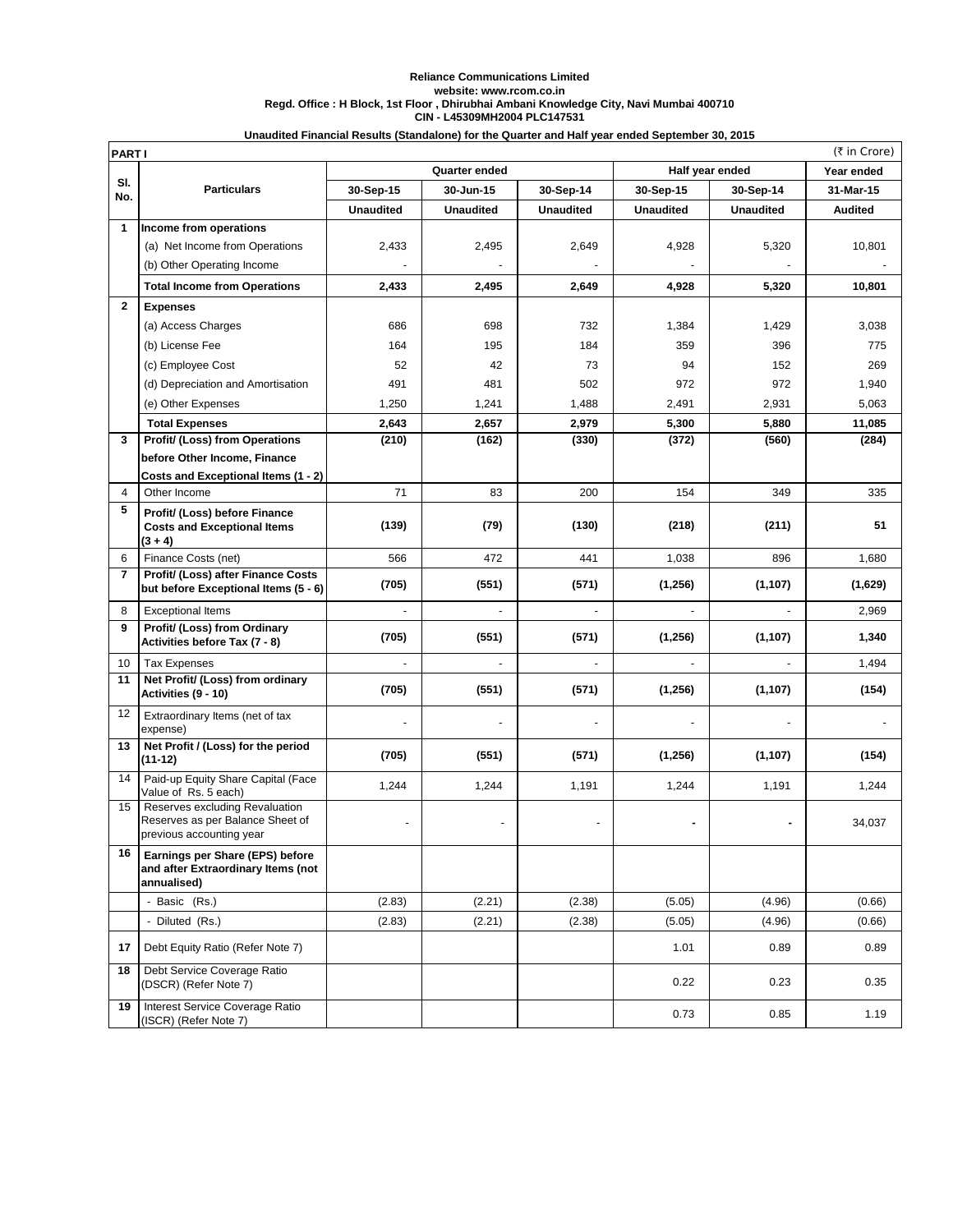## **Reliance Communications Limited website: www.rcom.co.in Regd. Office : H Block, 1st Floor , Dhirubhai Ambani Knowledge City, Navi Mumbai 400710 CIN - L45309MH2004 PLC147531 Unaudited Financial Results (Standalone) for the Quarter and Half year ended September 30, 2015**

| (₹ in Crore)<br><b>PARTI</b> |                                                                                                |                      |                  |                  |                  |                  |                |
|------------------------------|------------------------------------------------------------------------------------------------|----------------------|------------------|------------------|------------------|------------------|----------------|
|                              |                                                                                                | <b>Quarter ended</b> |                  |                  | Half year ended  |                  | Year ended     |
| SI.<br>No.                   | <b>Particulars</b>                                                                             | 30-Sep-15            | 30-Jun-15        | 30-Sep-14        | 30-Sep-15        | 30-Sep-14        | 31-Mar-15      |
|                              |                                                                                                | <b>Unaudited</b>     | <b>Unaudited</b> | <b>Unaudited</b> | <b>Unaudited</b> | <b>Unaudited</b> | <b>Audited</b> |
| 1                            | Income from operations                                                                         |                      |                  |                  |                  |                  |                |
|                              | (a) Net Income from Operations                                                                 | 2,433                | 2,495            | 2,649            | 4,928            | 5,320            | 10,801         |
|                              | (b) Other Operating Income                                                                     |                      |                  |                  |                  |                  |                |
|                              | <b>Total Income from Operations</b>                                                            | 2,433                | 2,495            | 2,649            | 4,928            | 5,320            | 10,801         |
| $\mathbf{2}$                 | <b>Expenses</b>                                                                                |                      |                  |                  |                  |                  |                |
|                              | (a) Access Charges                                                                             | 686                  | 698              | 732              | 1,384            | 1,429            | 3,038          |
|                              | (b) License Fee                                                                                | 164                  | 195              | 184              | 359              | 396              | 775            |
|                              | (c) Employee Cost                                                                              | 52                   | 42               | 73               | 94               | 152              | 269            |
|                              | (d) Depreciation and Amortisation                                                              | 491                  | 481              | 502              | 972              | 972              | 1,940          |
|                              | (e) Other Expenses                                                                             | 1,250                | 1,241            | 1,488            | 2,491            | 2,931            | 5,063          |
|                              | <b>Total Expenses</b>                                                                          | 2,643                | 2,657            | 2,979            | 5,300            | 5,880            | 11,085         |
| 3                            | Profit/ (Loss) from Operations                                                                 | (210)                | (162)            | (330)            | (372)            | (560)            | (284)          |
|                              | before Other Income, Finance                                                                   |                      |                  |                  |                  |                  |                |
| 4                            | Costs and Exceptional Items (1 - 2)<br>Other Income                                            | 71                   | 83               | 200              | 154              | 349              | 335            |
| 5                            |                                                                                                |                      |                  |                  |                  |                  |                |
|                              | Profit/ (Loss) before Finance<br><b>Costs and Exceptional Items</b><br>$(3 + 4)$               | (139)                | (79)             | (130)            | (218)            | (211)            | 51             |
| 6                            | Finance Costs (net)                                                                            | 566                  | 472              | 441              | 1,038            | 896              | 1,680          |
| $\overline{7}$               | Profit/ (Loss) after Finance Costs<br>but before Exceptional Items (5 - 6)                     | (705)                | (551)            | (571)            | (1, 256)         | (1, 107)         | (1,629)        |
| 8                            | <b>Exceptional Items</b>                                                                       | ÷,                   | ä,               | $\blacksquare$   | ä,               | $\blacksquare$   | 2,969          |
| 9                            | Profit/ (Loss) from Ordinary<br>Activities before Tax (7 - 8)                                  | (705)                | (551)            | (571)            | (1,256)          | (1, 107)         | 1,340          |
| 10                           | <b>Tax Expenses</b>                                                                            |                      |                  |                  |                  |                  | 1,494          |
| 11                           | Net Profit/ (Loss) from ordinary<br>Activities (9 - 10)                                        | (705)                | (551)            | (571)            | (1,256)          | (1, 107)         | (154)          |
| 12                           | Extraordinary Items (net of tax<br>expense)                                                    |                      |                  |                  |                  |                  |                |
| 13                           | Net Profit / (Loss) for the period<br>$(11-12)$                                                | (705)                | (551)            | (571)            | (1,256)          | (1, 107)         | (154)          |
| 14                           | Paid-up Equity Share Capital (Face<br>Value of Rs. 5 each)                                     | 1,244                | 1,244            | 1,191            | 1,244            | 1,191            | 1,244          |
| 15                           | Reserves excluding Revaluation<br>Reserves as per Balance Sheet of<br>previous accounting year |                      |                  |                  |                  |                  | 34,037         |
| 16                           | Earnings per Share (EPS) before<br>and after Extraordinary Items (not<br>annualised)           |                      |                  |                  |                  |                  |                |
|                              | - Basic (Rs.)                                                                                  | (2.83)               | (2.21)           | (2.38)           | (5.05)           | (4.96)           | (0.66)         |
|                              | - Diluted (Rs.)                                                                                | (2.83)               | (2.21)           | (2.38)           | (5.05)           | (4.96)           | (0.66)         |
| 17                           | Debt Equity Ratio (Refer Note 7)                                                               |                      |                  |                  | 1.01             | 0.89             | 0.89           |
| 18                           | Debt Service Coverage Ratio<br>(DSCR) (Refer Note 7)                                           |                      |                  |                  | 0.22             | 0.23             | 0.35           |
| 19                           | Interest Service Coverage Ratio<br>(ISCR) (Refer Note 7)                                       |                      |                  |                  | 0.73             | 0.85             | 1.19           |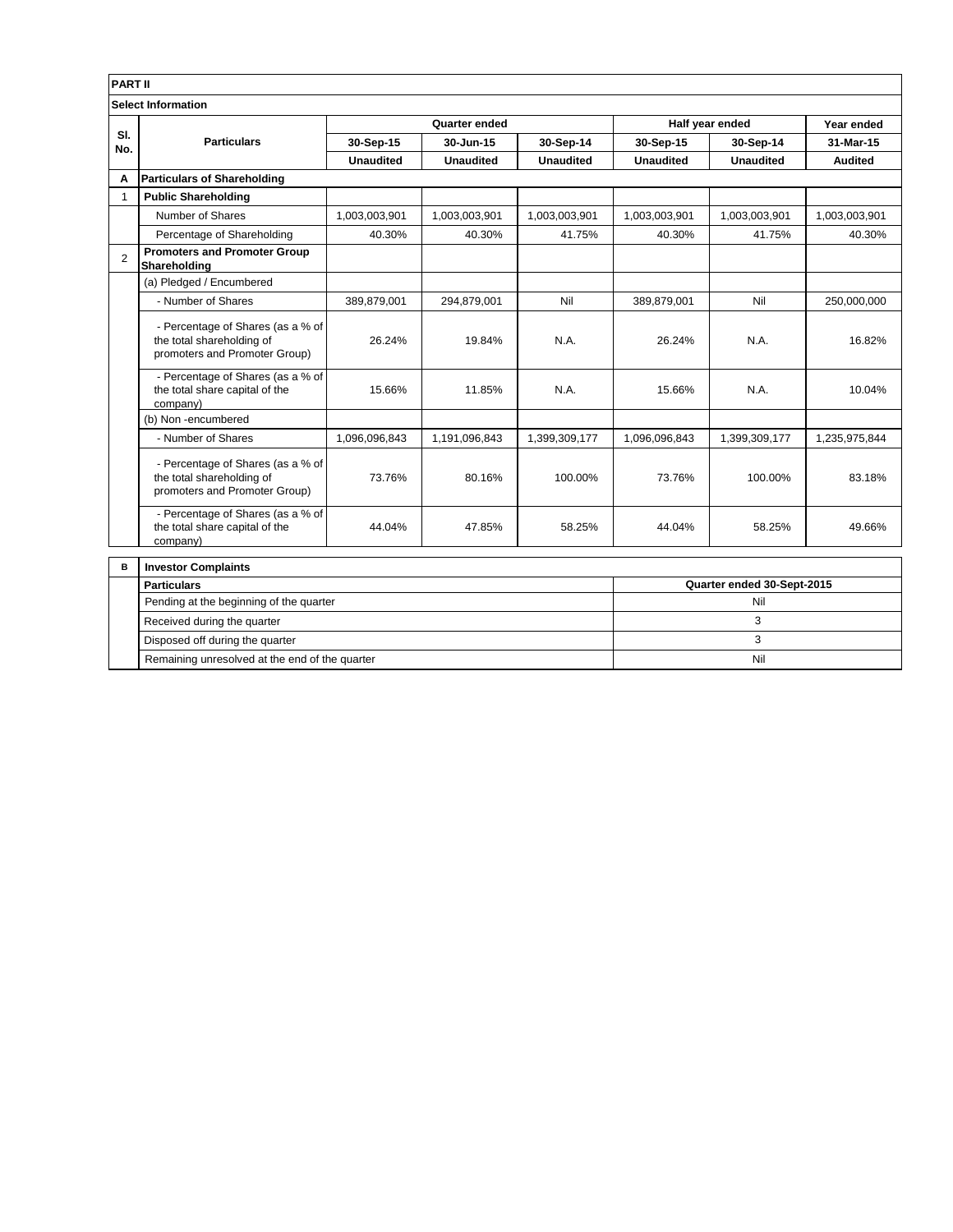| <b>PART II</b>            |                                                                                                 |                            |                  |                  |                  |                  |                |  |
|---------------------------|-------------------------------------------------------------------------------------------------|----------------------------|------------------|------------------|------------------|------------------|----------------|--|
| <b>Select Information</b> |                                                                                                 |                            |                  |                  |                  |                  |                |  |
|                           |                                                                                                 | Quarter ended              |                  |                  | Half year ended  |                  | Year ended     |  |
| SI.<br>No.                | <b>Particulars</b>                                                                              | 30-Sep-15                  | 30-Jun-15        | 30-Sep-14        | 30-Sep-15        | 30-Sep-14        | 31-Mar-15      |  |
|                           |                                                                                                 | <b>Unaudited</b>           | <b>Unaudited</b> | <b>Unaudited</b> | <b>Unaudited</b> | <b>Unaudited</b> | <b>Audited</b> |  |
| A                         | <b>Particulars of Shareholding</b>                                                              |                            |                  |                  |                  |                  |                |  |
| $\mathbf{1}$              | <b>Public Shareholding</b>                                                                      |                            |                  |                  |                  |                  |                |  |
|                           | Number of Shares                                                                                | 1,003,003,901              | 1,003,003,901    | 1,003,003,901    | 1,003,003,901    | 1,003,003,901    | 1,003,003,901  |  |
|                           | Percentage of Shareholding                                                                      | 40.30%                     | 40.30%           | 41.75%           | 40.30%           | 41.75%           | 40.30%         |  |
| $\overline{2}$            | <b>Promoters and Promoter Group</b><br>Shareholding                                             |                            |                  |                  |                  |                  |                |  |
|                           | (a) Pledged / Encumbered                                                                        |                            |                  |                  |                  |                  |                |  |
|                           | - Number of Shares                                                                              | 389,879,001                | 294,879,001      | Nil              | 389,879,001      | Nil              | 250,000,000    |  |
|                           | - Percentage of Shares (as a % of<br>the total shareholding of<br>promoters and Promoter Group) | 26.24%                     | 19.84%           | N.A.             | 26.24%           | N.A.             | 16.82%         |  |
|                           | - Percentage of Shares (as a % of<br>the total share capital of the<br>company)                 | 15.66%                     | 11.85%           | N.A.             | 15.66%           | N.A.             | 10.04%         |  |
|                           | (b) Non-encumbered                                                                              |                            |                  |                  |                  |                  |                |  |
|                           | - Number of Shares                                                                              | 1,096,096,843              | 1,191,096,843    | 1,399,309,177    | 1,096,096,843    | 1,399,309,177    | 1,235,975,844  |  |
|                           | - Percentage of Shares (as a % of<br>the total shareholding of<br>promoters and Promoter Group) | 73.76%                     | 80.16%           | 100.00%          | 73.76%           | 100.00%          | 83.18%         |  |
|                           | - Percentage of Shares (as a % of<br>the total share capital of the<br>company)                 | 44.04%                     | 47.85%           | 58.25%           | 44.04%           | 58.25%           | 49.66%         |  |
| B                         | <b>Investor Complaints</b>                                                                      |                            |                  |                  |                  |                  |                |  |
|                           | <b>Particulars</b>                                                                              | Quarter ended 30-Sept-2015 |                  |                  |                  |                  |                |  |
|                           | Pending at the beginning of the quarter                                                         |                            |                  |                  |                  | Nil              |                |  |
|                           | Received during the quarter                                                                     | 3                          |                  |                  |                  |                  |                |  |
|                           | Disposed off during the quarter                                                                 | 3                          |                  |                  |                  |                  |                |  |
|                           | Remaining unresolved at the end of the quarter                                                  | Nil                        |                  |                  |                  |                  |                |  |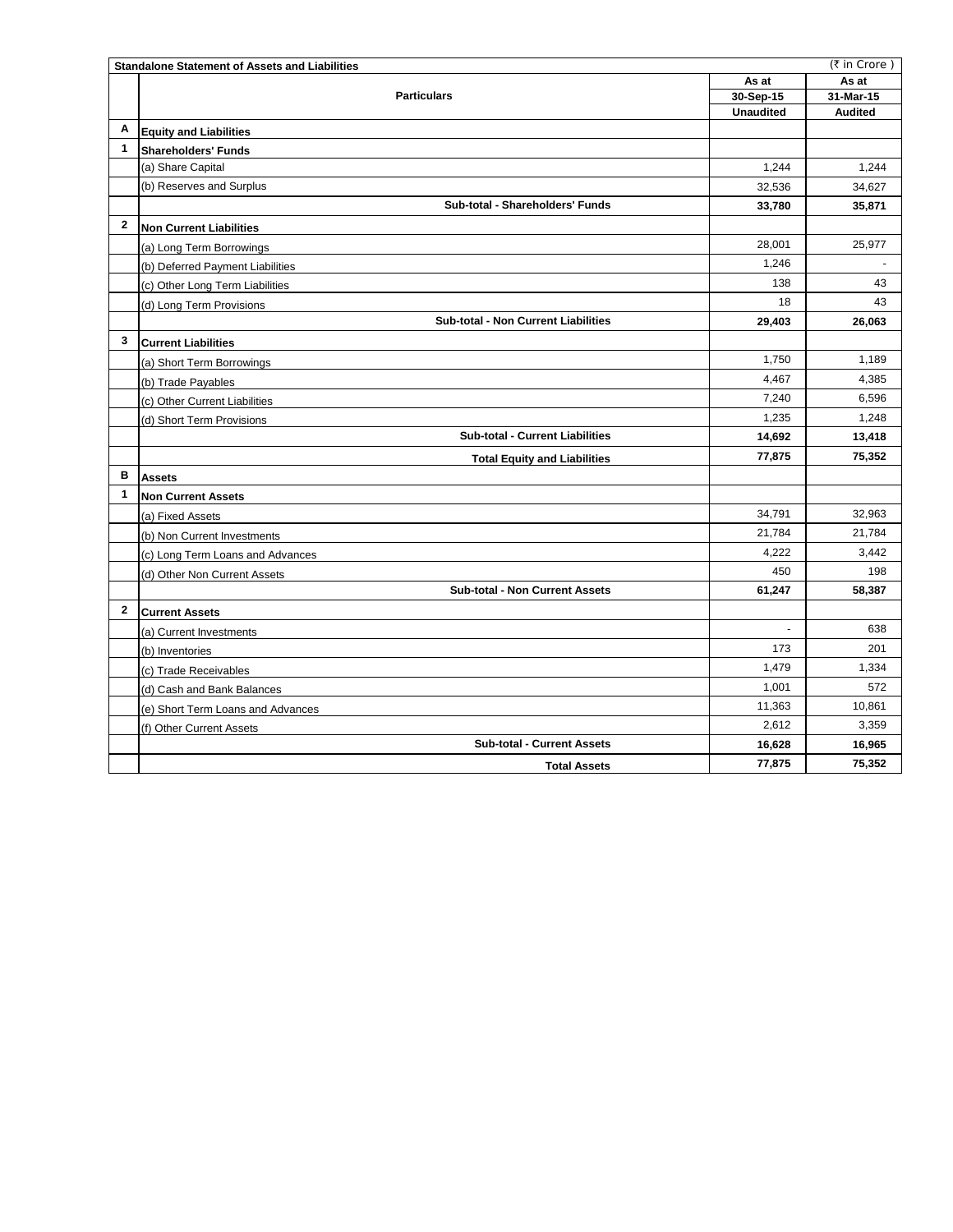|                | <b>Standalone Statement of Assets and Liabilities</b> |                  | (₹ in Crore)   |
|----------------|-------------------------------------------------------|------------------|----------------|
|                |                                                       | As at            | As at          |
|                | <b>Particulars</b>                                    | 30-Sep-15        | 31-Mar-15      |
|                |                                                       | <b>Unaudited</b> | <b>Audited</b> |
| Α              | <b>Equity and Liabilities</b>                         |                  |                |
| $\mathbf{1}$   | <b>Shareholders' Funds</b>                            |                  |                |
|                | (a) Share Capital                                     | 1.244            | 1.244          |
|                | (b) Reserves and Surplus                              | 32,536           | 34,627         |
|                | Sub-total - Shareholders' Funds                       | 33,780           | 35,871         |
| $\mathbf{2}$   | <b>Non Current Liabilities</b>                        |                  |                |
|                | (a) Long Term Borrowings                              | 28,001           | 25,977         |
|                | (b) Deferred Payment Liabilities                      | 1,246            |                |
|                | (c) Other Long Term Liabilities                       | 138              | 43             |
|                | (d) Long Term Provisions                              | 18               | 43             |
|                | Sub-total - Non Current Liabilities                   | 29,403           | 26,063         |
| 3              | <b>Current Liabilities</b>                            |                  |                |
|                | (a) Short Term Borrowings                             | 1,750            | 1,189          |
|                | (b) Trade Payables                                    | 4,467            | 4,385          |
|                | (c) Other Current Liabilities                         | 7,240            | 6,596          |
|                | (d) Short Term Provisions                             | 1,235            | 1,248          |
|                | <b>Sub-total - Current Liabilities</b>                | 14,692           | 13,418         |
|                | <b>Total Equity and Liabilities</b>                   | 77,875           | 75,352         |
| в              | <b>Assets</b>                                         |                  |                |
| $\mathbf{1}$   | <b>Non Current Assets</b>                             |                  |                |
|                | (a) Fixed Assets                                      | 34,791           | 32,963         |
|                | (b) Non Current Investments                           | 21,784           | 21,784         |
|                | (c) Long Term Loans and Advances                      | 4,222            | 3,442          |
|                | (d) Other Non Current Assets                          | 450              | 198            |
|                | <b>Sub-total - Non Current Assets</b>                 | 61,247           | 58,387         |
| $\overline{2}$ | <b>Current Assets</b>                                 |                  |                |
|                | (a) Current Investments                               | $\blacksquare$   | 638            |
|                | (b) Inventories                                       | 173              | 201            |
|                | (c) Trade Receivables                                 | 1,479            | 1,334          |
|                | (d) Cash and Bank Balances                            | 1,001            | 572            |
|                | (e) Short Term Loans and Advances                     | 11,363           | 10,861         |
|                | (f) Other Current Assets                              | 2,612            | 3,359          |
|                | <b>Sub-total - Current Assets</b>                     | 16,628           | 16,965         |
|                | <b>Total Assets</b>                                   | 77,875           | 75,352         |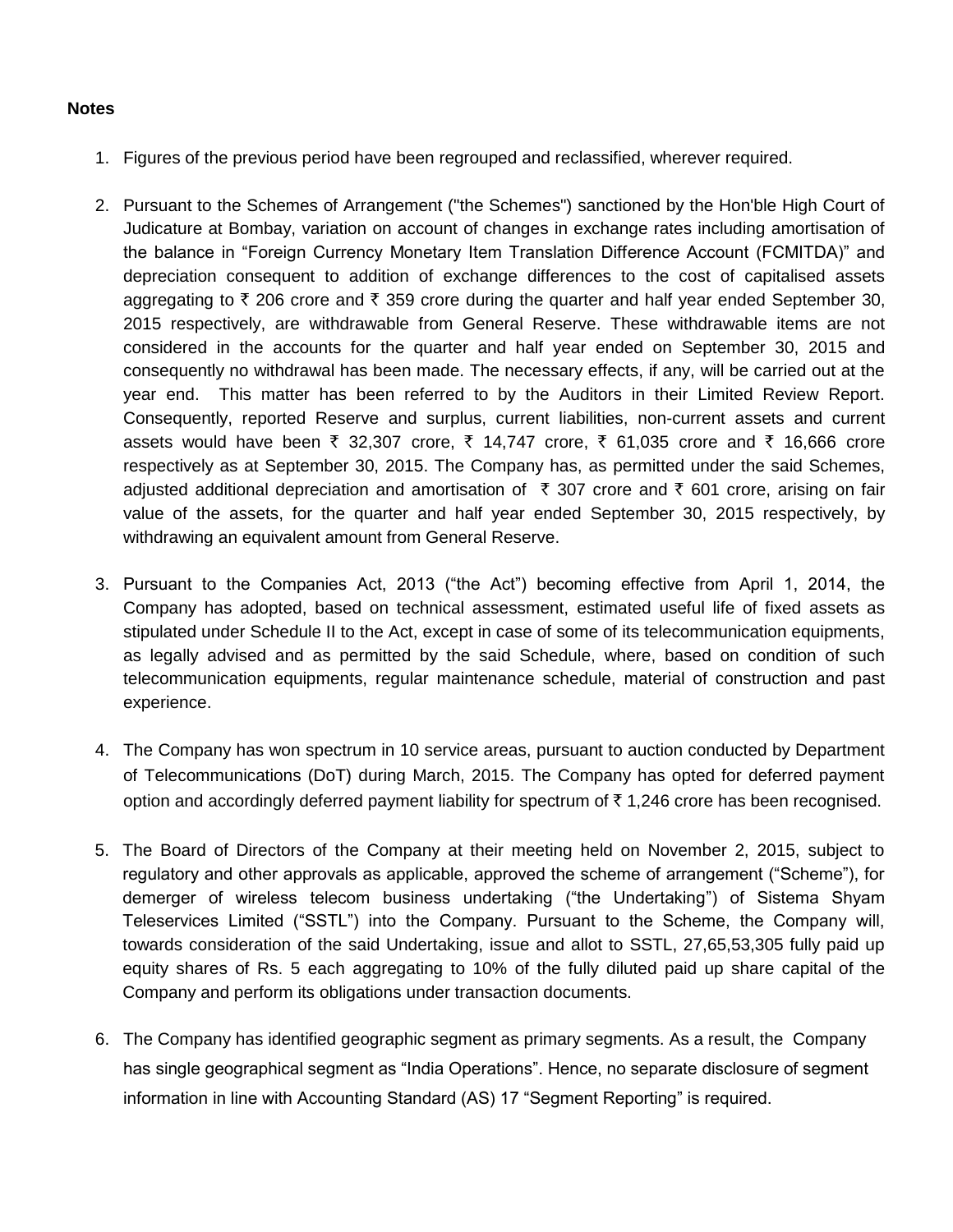## **Notes**

- 1. Figures of the previous period have been regrouped and reclassified, wherever required.
- 2. Pursuant to the Schemes of Arrangement ("the Schemes") sanctioned by the Hon'ble High Court of Judicature at Bombay, variation on account of changes in exchange rates including amortisation of the balance in "Foreign Currency Monetary Item Translation Difference Account (FCMITDA)" and depreciation consequent to addition of exchange differences to the cost of capitalised assets aggregating to  $\bar{\tau}$  206 crore and  $\bar{\tau}$  359 crore during the quarter and half year ended September 30, 2015 respectively, are withdrawable from General Reserve. These withdrawable items are not considered in the accounts for the quarter and half year ended on September 30, 2015 and consequently no withdrawal has been made. The necessary effects, if any, will be carried out at the year end. This matter has been referred to by the Auditors in their Limited Review Report. Consequently, reported Reserve and surplus, current liabilities, non-current assets and current assets would have been ₹ 32,307 crore, ₹ 14,747 crore, ₹ 61,035 crore and ₹ 16,666 crore respectively as at September 30, 2015. The Company has, as permitted under the said Schemes, adjusted additional depreciation and amortisation of  $\bar{\tau}$  307 crore and  $\bar{\tau}$  601 crore, arising on fair value of the assets, for the quarter and half year ended September 30, 2015 respectively, by withdrawing an equivalent amount from General Reserve.
- 3. Pursuant to the Companies Act, 2013 ("the Act") becoming effective from April 1, 2014, the Company has adopted, based on technical assessment, estimated useful life of fixed assets as stipulated under Schedule II to the Act, except in case of some of its telecommunication equipments, as legally advised and as permitted by the said Schedule, where, based on condition of such telecommunication equipments, regular maintenance schedule, material of construction and past experience.
- 4. The Company has won spectrum in 10 service areas, pursuant to auction conducted by Department of Telecommunications (DoT) during March, 2015. The Company has opted for deferred payment option and accordingly deferred payment liability for spectrum of  $\bar{\tau}$  1,246 crore has been recognised.
- 5. The Board of Directors of the Company at their meeting held on November 2, 2015, subject to regulatory and other approvals as applicable, approved the scheme of arrangement ("Scheme"), for demerger of wireless telecom business undertaking ("the Undertaking") of Sistema Shyam Teleservices Limited ("SSTL") into the Company. Pursuant to the Scheme, the Company will, towards consideration of the said Undertaking, issue and allot to SSTL, 27,65,53,305 fully paid up equity shares of Rs. 5 each aggregating to 10% of the fully diluted paid up share capital of the Company and perform its obligations under transaction documents.
- 6. The Company has identified geographic segment as primary segments. As a result, the Company has single geographical segment as "India Operations". Hence, no separate disclosure of segment information in line with Accounting Standard (AS) 17 "Segment Reporting" is required.